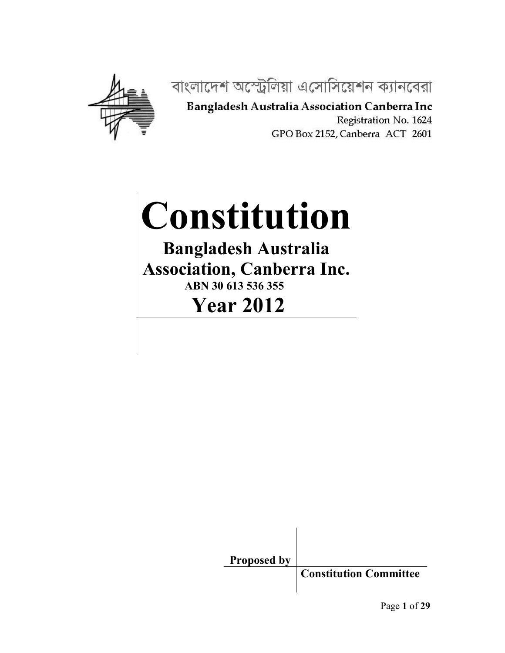

বাংলাদেশ অস্ট্রেলিয়া এসোসিয়েশন ক্যানবেরা

Bangladesh Australia Association Canberra Inc Registration No. 1624 GPO Box 2152, Canberra ACT 2601

# **Constitution Bangladesh Australia**

**Association, Canberra Inc.**

**ABN 30 613 536 355 Year 2012**

> **Proposed by Constitution Committee**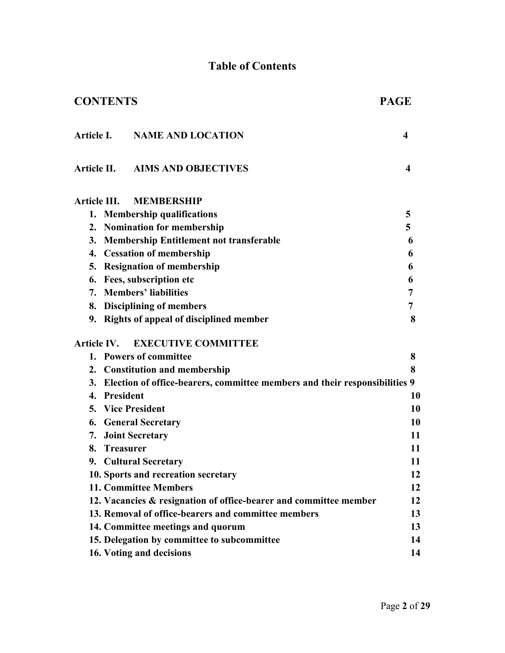#### **Table of Contents**

| <b>CONTENTS</b>        |                                                                               | <b>PAGE</b>             |
|------------------------|-------------------------------------------------------------------------------|-------------------------|
| <b>Article I.</b>      | <b>NAME AND LOCATION</b>                                                      | $\overline{\mathbf{4}}$ |
|                        | Article II. AIMS AND OBJECTIVES                                               | $\overline{\mathbf{4}}$ |
| <b>Article III.</b>    | <b>MEMBERSHIP</b>                                                             |                         |
|                        | 1. Membership qualifications                                                  | 5                       |
|                        | 2. Nomination for membership                                                  | 5                       |
|                        | 3. Membership Entitlement not transferable                                    | 6                       |
|                        | 4. Cessation of membership                                                    | 6                       |
|                        | 5. Resignation of membership                                                  | 6                       |
|                        | 6. Fees, subscription etc                                                     | 6                       |
|                        | 7. Members' liabilities                                                       | 7                       |
|                        | 8. Disciplining of members                                                    | 7                       |
|                        | 9. Rights of appeal of disciplined member                                     | 8                       |
| <b>Article IV.</b>     | <b>EXECUTIVE COMMITTEE</b>                                                    |                         |
|                        | 1. Powers of committee                                                        | 8                       |
|                        | 2. Constitution and membership                                                | 8                       |
|                        | 3. Election of office-bearers, committee members and their responsibilities 9 |                         |
| 4. President           |                                                                               | 10                      |
| 5. Vice President      |                                                                               | 10                      |
|                        | <b>6. General Secretary</b>                                                   | 10                      |
|                        | 7. Joint Secretary                                                            | 11                      |
| <b>Treasurer</b><br>8. |                                                                               | 11                      |
|                        | 9. Cultural Secretary                                                         | 11                      |
|                        | 10. Sports and recreation secretary                                           | 12                      |
|                        | <b>11. Committee Members</b>                                                  | 12                      |
|                        | 12. Vacancies & resignation of office-bearer and committee member             | 12                      |
|                        | 13. Removal of office-bearers and committee members                           | 13                      |
|                        | 14. Committee meetings and quorum                                             | 13                      |
|                        | 15. Delegation by committee to subcommittee                                   | 14                      |
|                        | 16. Voting and decisions                                                      | 14                      |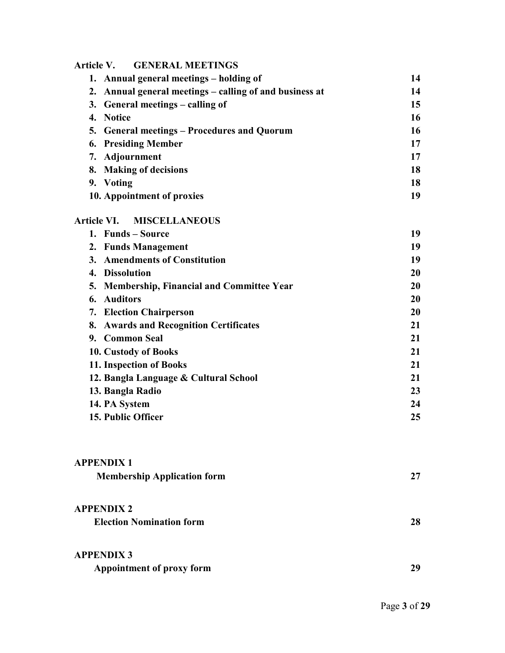#### **Article V. GENERAL MEETINGS**

|    | 1. Annual general meetings – holding of                 | 14 |
|----|---------------------------------------------------------|----|
|    | 2. Annual general meetings – calling of and business at | 14 |
|    | 3. General meetings – calling of                        | 15 |
|    | 4. Notice                                               | 16 |
|    | 5. General meetings – Procedures and Quorum             | 16 |
|    | <b>6. Presiding Member</b>                              | 17 |
|    | 7. Adjournment                                          | 17 |
|    | 8. Making of decisions                                  | 18 |
| 9. | Voting                                                  | 18 |
|    | 10. Appointment of proxies                              | 19 |

#### **Article VI. MISCELLANEOUS**

|    | 1. Funds – Source                           | 19 |
|----|---------------------------------------------|----|
|    | 2. Funds Management                         | 19 |
| 3. | <b>Amendments of Constitution</b>           | 19 |
| 4. | <b>Dissolution</b>                          | 20 |
|    | 5. Membership, Financial and Committee Year | 20 |
| 6. | <b>Auditors</b>                             | 20 |
|    | 7. Election Chairperson                     | 20 |
|    | 8. Awards and Recognition Certificates      | 21 |
|    | 9. Common Seal                              | 21 |
|    | 10. Custody of Books                        | 21 |
|    | 11. Inspection of Books                     | 21 |
|    | 12. Bangla Language & Cultural School       | 21 |
|    | 13. Bangla Radio                            | 23 |
|    | 14. PA System                               | 24 |
|    | 15. Public Officer                          | 25 |
|    |                                             |    |

## **APPENDIX 1 Membership Application form 27 APPENDIX 2 Election Nomination form 28 APPENDIX 3**

| Appointment of proxy form |  |
|---------------------------|--|
|---------------------------|--|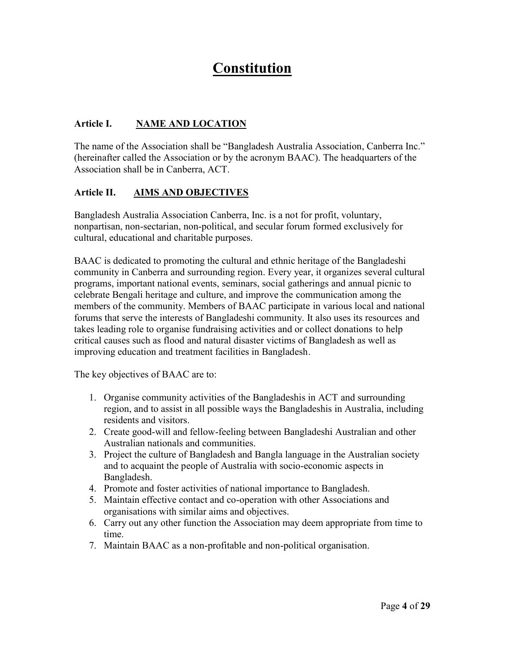### **Constitution**

#### **Article I. NAME AND LOCATION**

The name of the Association shall be "Bangladesh Australia Association, Canberra Inc." (hereinafter called the Association or by the acronym BAAC). The headquarters of the Association shall be in Canberra, ACT.

#### **Article II. AIMS AND OBJECTIVES**

Bangladesh Australia Association Canberra, Inc. is a not for profit, voluntary, nonpartisan, non-sectarian, non-political, and secular forum formed exclusively for cultural, educational and charitable purposes.

BAAC is dedicated to promoting the cultural and ethnic heritage of the Bangladeshi community in Canberra and surrounding region. Every year, it organizes several cultural programs, important national events, seminars, social gatherings and annual picnic to celebrate Bengali heritage and culture, and improve the communication among the members of the community. Members of BAAC participate in various local and national forums that serve the interests of Bangladeshi community. It also uses its resources and takes leading role to organise fundraising activities and or collect donations to help critical causes such as flood and natural disaster victims of Bangladesh as well as improving education and treatment facilities in Bangladesh.

The key objectives of BAAC are to:

- 1. Organise community activities of the Bangladeshis in ACT and surrounding region, and to assist in all possible ways the Bangladeshis in Australia, including residents and visitors.
- 2. Create good-will and fellow-feeling between Bangladeshi Australian and other Australian nationals and communities.
- 3. Project the culture of Bangladesh and Bangla language in the Australian society and to acquaint the people of Australia with socio-economic aspects in Bangladesh.
- 4. Promote and foster activities of national importance to Bangladesh.
- 5. Maintain effective contact and co-operation with other Associations and organisations with similar aims and objectives.
- 6. Carry out any other function the Association may deem appropriate from time to time.
- 7. Maintain BAAC as a non-profitable and non-political organisation.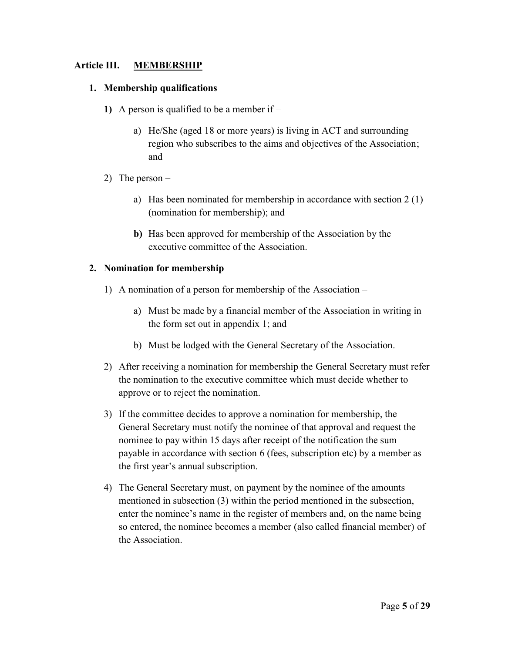#### **Article III. MEMBERSHIP**

#### **1. Membership qualifications**

- **1)** A person is qualified to be a member if
	- a) He/She (aged 18 or more years) is living in ACT and surrounding region who subscribes to the aims and objectives of the Association; and
- 2) The person
	- a) Has been nominated for membership in accordance with section 2 (1) (nomination for membership); and
	- **b)** Has been approved for membership of the Association by the executive committee of the Association.

#### **2. Nomination for membership**

- 1) A nomination of a person for membership of the Association
	- a) Must be made by a financial member of the Association in writing in the form set out in appendix 1; and
	- b) Must be lodged with the General Secretary of the Association.
- 2) After receiving a nomination for membership the General Secretary must refer the nomination to the executive committee which must decide whether to approve or to reject the nomination.
- 3) If the committee decides to approve a nomination for membership, the General Secretary must notify the nominee of that approval and request the nominee to pay within 15 days after receipt of the notification the sum payable in accordance with section 6 (fees, subscription etc) by a member as the first year's annual subscription.
- 4) The General Secretary must, on payment by the nominee of the amounts mentioned in subsection (3) within the period mentioned in the subsection, enter the nominee's name in the register of members and, on the name being so entered, the nominee becomes a member (also called financial member) of the Association.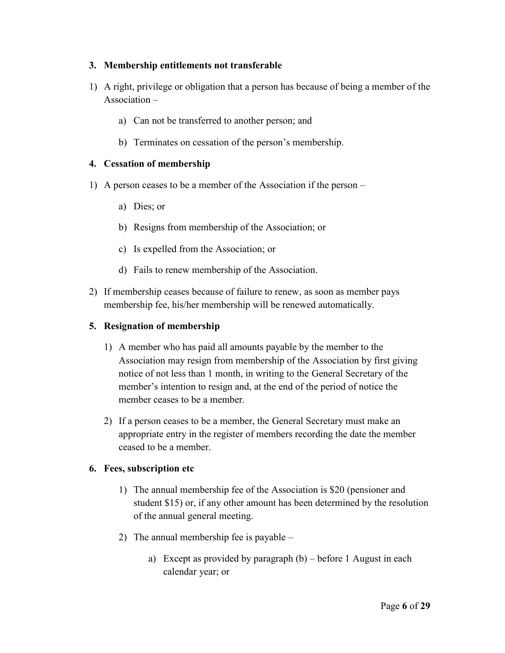#### **3. Membership entitlements not transferable**

- 1) A right, privilege or obligation that a person has because of being a member of the Association –
	- a) Can not be transferred to another person; and
	- b) Terminates on cessation of the person's membership.

#### **4. Cessation of membership**

- 1) A person ceases to be a member of the Association if the person
	- a) Dies; or
	- b) Resigns from membership of the Association; or
	- c) Is expelled from the Association; or
	- d) Fails to renew membership of the Association.
- 2) If membership ceases because of failure to renew, as soon as member pays membership fee, his/her membership will be renewed automatically.

#### **5. Resignation of membership**

- 1) A member who has paid all amounts payable by the member to the Association may resign from membership of the Association by first giving notice of not less than 1 month, in writing to the General Secretary of the member's intention to resign and, at the end of the period of notice the member ceases to be a member.
- 2) If a person ceases to be a member, the General Secretary must make an appropriate entry in the register of members recording the date the member ceased to be a member.

#### **6. Fees, subscription etc**

- 1) The annual membership fee of the Association is \$20 (pensioner and student \$15) or, if any other amount has been determined by the resolution of the annual general meeting.
- 2) The annual membership fee is payable
	- a) Except as provided by paragraph (b) before 1 August in each calendar year; or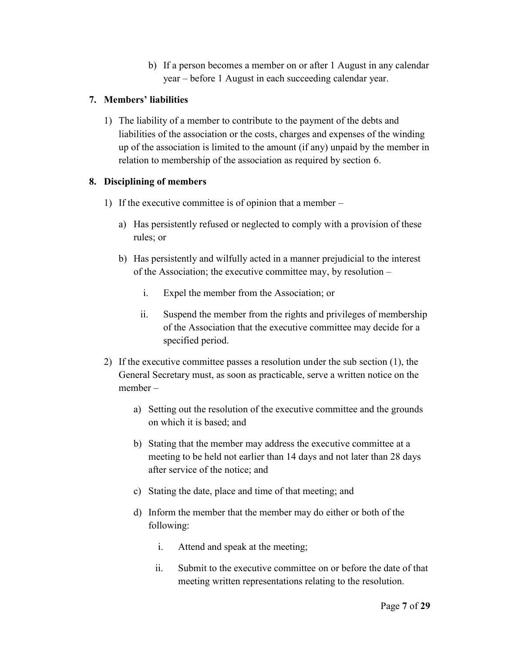b) If a person becomes a member on or after 1 August in any calendar year – before 1 August in each succeeding calendar year.

#### **7. Members' liabilities**

1) The liability of a member to contribute to the payment of the debts and liabilities of the association or the costs, charges and expenses of the winding up of the association is limited to the amount (if any) unpaid by the member in relation to membership of the association as required by section 6.

#### **8. Disciplining of members**

- 1) If the executive committee is of opinion that a member
	- a) Has persistently refused or neglected to comply with a provision of these rules; or
	- b) Has persistently and wilfully acted in a manner prejudicial to the interest of the Association; the executive committee may, by resolution –
		- i. Expel the member from the Association; or
		- ii. Suspend the member from the rights and privileges of membership of the Association that the executive committee may decide for a specified period.
- 2) If the executive committee passes a resolution under the sub section (1), the General Secretary must, as soon as practicable, serve a written notice on the member –
	- a) Setting out the resolution of the executive committee and the grounds on which it is based; and
	- b) Stating that the member may address the executive committee at a meeting to be held not earlier than 14 days and not later than 28 days after service of the notice; and
	- c) Stating the date, place and time of that meeting; and
	- d) Inform the member that the member may do either or both of the following:
		- i. Attend and speak at the meeting;
		- ii. Submit to the executive committee on or before the date of that meeting written representations relating to the resolution.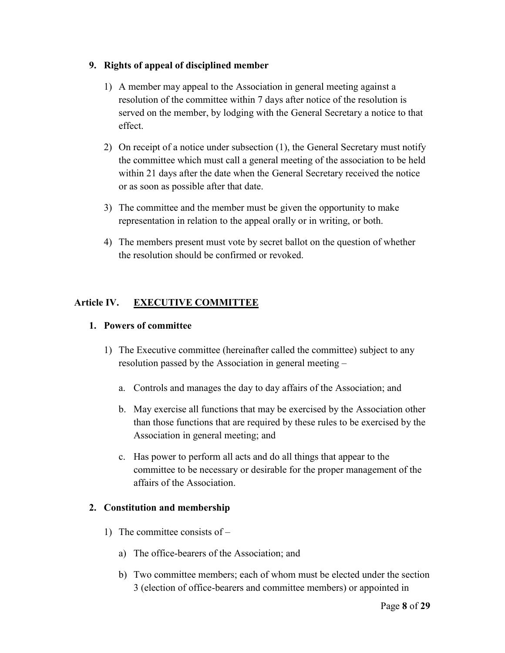#### **9. Rights of appeal of disciplined member**

- 1) A member may appeal to the Association in general meeting against a resolution of the committee within 7 days after notice of the resolution is served on the member, by lodging with the General Secretary a notice to that effect.
- 2) On receipt of a notice under subsection (1), the General Secretary must notify the committee which must call a general meeting of the association to be held within 21 days after the date when the General Secretary received the notice or as soon as possible after that date.
- 3) The committee and the member must be given the opportunity to make representation in relation to the appeal orally or in writing, or both.
- 4) The members present must vote by secret ballot on the question of whether the resolution should be confirmed or revoked.

#### **Article IV. EXECUTIVE COMMITTEE**

#### **1. Powers of committee**

- 1) The Executive committee (hereinafter called the committee) subject to any resolution passed by the Association in general meeting –
	- a. Controls and manages the day to day affairs of the Association; and
	- b. May exercise all functions that may be exercised by the Association other than those functions that are required by these rules to be exercised by the Association in general meeting; and
	- c. Has power to perform all acts and do all things that appear to the committee to be necessary or desirable for the proper management of the affairs of the Association.

#### **2. Constitution and membership**

- 1) The committee consists of
	- a) The office-bearers of the Association; and
	- b) Two committee members; each of whom must be elected under the section 3 (election of office-bearers and committee members) or appointed in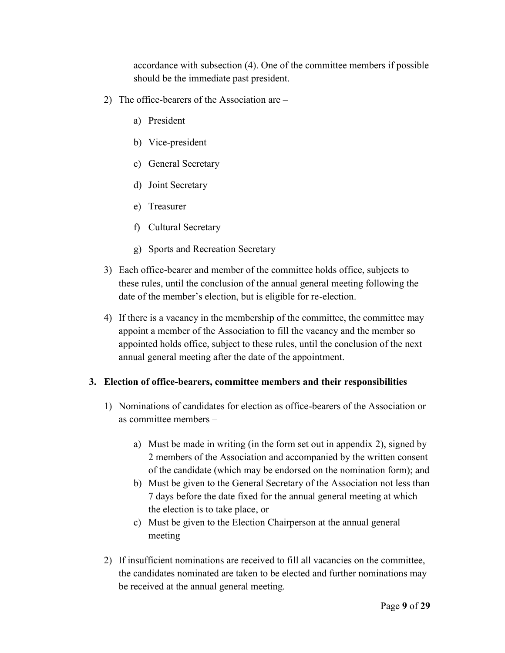accordance with subsection (4). One of the committee members if possible should be the immediate past president.

- 2) The office-bearers of the Association are
	- a) President
	- b) Vice-president
	- c) General Secretary
	- d) Joint Secretary
	- e) Treasurer
	- f) Cultural Secretary
	- g) Sports and Recreation Secretary
- 3) Each office-bearer and member of the committee holds office, subjects to these rules, until the conclusion of the annual general meeting following the date of the member's election, but is eligible for re-election.
- 4) If there is a vacancy in the membership of the committee, the committee may appoint a member of the Association to fill the vacancy and the member so appointed holds office, subject to these rules, until the conclusion of the next annual general meeting after the date of the appointment.

#### **3. Election of office-bearers, committee members and their responsibilities**

- 1) Nominations of candidates for election as office-bearers of the Association or as committee members –
	- a) Must be made in writing (in the form set out in appendix 2), signed by 2 members of the Association and accompanied by the written consent of the candidate (which may be endorsed on the nomination form); and
	- b) Must be given to the General Secretary of the Association not less than 7 days before the date fixed for the annual general meeting at which the election is to take place, or
	- c) Must be given to the Election Chairperson at the annual general meeting
- 2) If insufficient nominations are received to fill all vacancies on the committee, the candidates nominated are taken to be elected and further nominations may be received at the annual general meeting.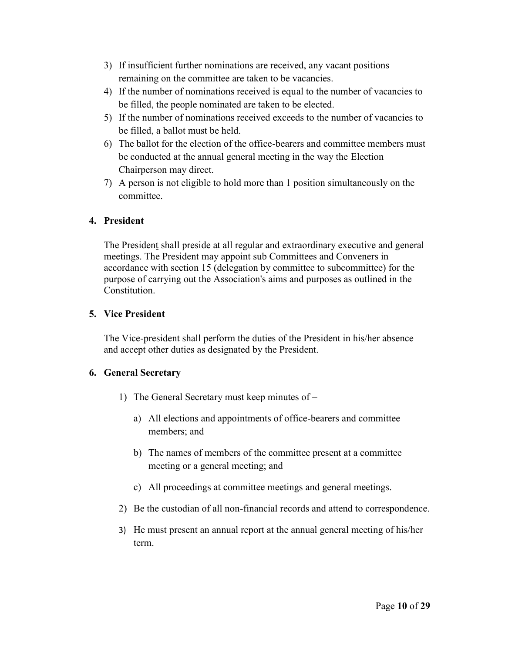- 3) If insufficient further nominations are received, any vacant positions remaining on the committee are taken to be vacancies.
- 4) If the number of nominations received is equal to the number of vacancies to be filled, the people nominated are taken to be elected.
- 5) If the number of nominations received exceeds to the number of vacancies to be filled, a ballot must be held.
- 6) The ballot for the election of the office-bearers and committee members must be conducted at the annual general meeting in the way the Election Chairperson may direct.
- 7) A person is not eligible to hold more than 1 position simultaneously on the committee.

#### **4. President**

The President shall preside at all regular and extraordinary executive and general meetings. The President may appoint sub Committees and Conveners in accordance with section 15 (delegation by committee to subcommittee) for the purpose of carrying out the Association's aims and purposes as outlined in the Constitution.

#### **5. Vice President**

The Vice-president shall perform the duties of the President in his/her absence and accept other duties as designated by the President.

#### **6. General Secretary**

- 1) The General Secretary must keep minutes of
	- a) All elections and appointments of office-bearers and committee members; and
	- b) The names of members of the committee present at a committee meeting or a general meeting; and
	- c) All proceedings at committee meetings and general meetings.
- 2) Be the custodian of all non-financial records and attend to correspondence.
- 3) He must present an annual report at the annual general meeting of his/her term.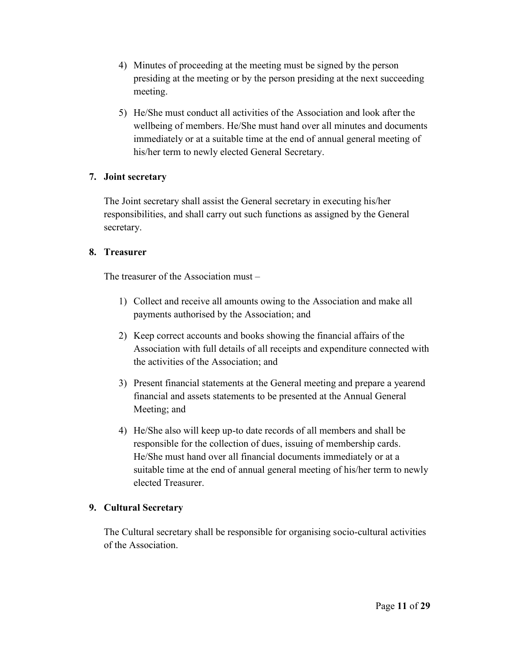- 4) Minutes of proceeding at the meeting must be signed by the person presiding at the meeting or by the person presiding at the next succeeding meeting.
- 5) He/She must conduct all activities of the Association and look after the wellbeing of members. He/She must hand over all minutes and documents immediately or at a suitable time at the end of annual general meeting of his/her term to newly elected General Secretary.

#### **7. Joint secretary**

The Joint secretary shall assist the General secretary in executing his/her responsibilities, and shall carry out such functions as assigned by the General secretary.

#### **8. Treasurer**

The treasurer of the Association must –

- 1) Collect and receive all amounts owing to the Association and make all payments authorised by the Association; and
- 2) Keep correct accounts and books showing the financial affairs of the Association with full details of all receipts and expenditure connected with the activities of the Association; and
- 3) Present financial statements at the General meeting and prepare a yearend financial and assets statements to be presented at the Annual General Meeting; and
- 4) He/She also will keep up-to date records of all members and shall be responsible for the collection of dues, issuing of membership cards. He/She must hand over all financial documents immediately or at a suitable time at the end of annual general meeting of his/her term to newly elected Treasurer.

#### **9. Cultural Secretary**

The Cultural secretary shall be responsible for organising socio-cultural activities of the Association.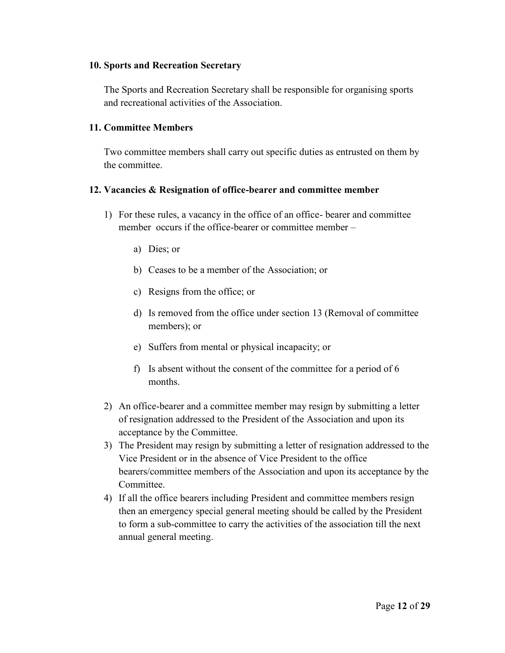#### **10. Sports and Recreation Secretary**

The Sports and Recreation Secretary shall be responsible for organising sports and recreational activities of the Association.

#### **11. Committee Members**

Two committee members shall carry out specific duties as entrusted on them by the committee.

#### **12. Vacancies & Resignation of office-bearer and committee member**

- 1) For these rules, a vacancy in the office of an office- bearer and committee member occurs if the office-bearer or committee member –
	- a) Dies; or
	- b) Ceases to be a member of the Association; or
	- c) Resigns from the office; or
	- d) Is removed from the office under section 13 (Removal of committee members); or
	- e) Suffers from mental or physical incapacity; or
	- f) Is absent without the consent of the committee for a period of 6 months.
- 2) An office-bearer and a committee member may resign by submitting a letter of resignation addressed to the President of the Association and upon its acceptance by the Committee.
- 3) The President may resign by submitting a letter of resignation addressed to the Vice President or in the absence of Vice President to the office bearers/committee members of the Association and upon its acceptance by the Committee.
- 4) If all the office bearers including President and committee members resign then an emergency special general meeting should be called by the President to form a sub-committee to carry the activities of the association till the next annual general meeting.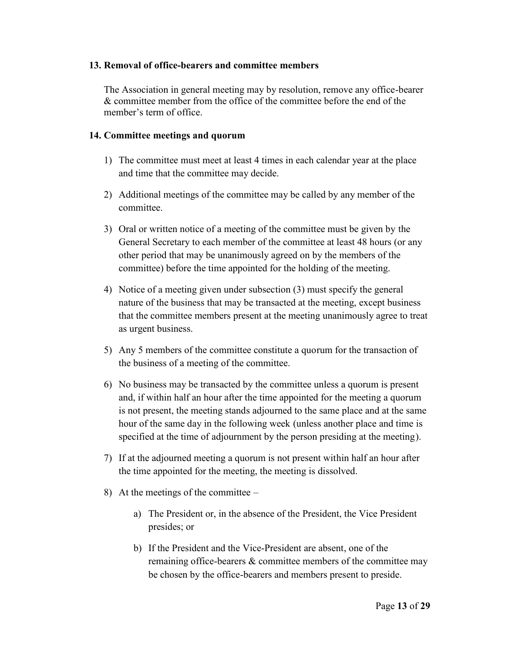#### **13. Removal of office-bearers and committee members**

The Association in general meeting may by resolution, remove any office-bearer & committee member from the office of the committee before the end of the member's term of office.

#### **14. Committee meetings and quorum**

- 1) The committee must meet at least 4 times in each calendar year at the place and time that the committee may decide.
- 2) Additional meetings of the committee may be called by any member of the committee.
- 3) Oral or written notice of a meeting of the committee must be given by the General Secretary to each member of the committee at least 48 hours (or any other period that may be unanimously agreed on by the members of the committee) before the time appointed for the holding of the meeting.
- 4) Notice of a meeting given under subsection (3) must specify the general nature of the business that may be transacted at the meeting, except business that the committee members present at the meeting unanimously agree to treat as urgent business.
- 5) Any 5 members of the committee constitute a quorum for the transaction of the business of a meeting of the committee.
- 6) No business may be transacted by the committee unless a quorum is present and, if within half an hour after the time appointed for the meeting a quorum is not present, the meeting stands adjourned to the same place and at the same hour of the same day in the following week (unless another place and time is specified at the time of adjournment by the person presiding at the meeting).
- 7) If at the adjourned meeting a quorum is not present within half an hour after the time appointed for the meeting, the meeting is dissolved.
- 8) At the meetings of the committee
	- a) The President or, in the absence of the President, the Vice President presides; or
	- b) If the President and the Vice-President are absent, one of the remaining office-bearers & committee members of the committee may be chosen by the office-bearers and members present to preside.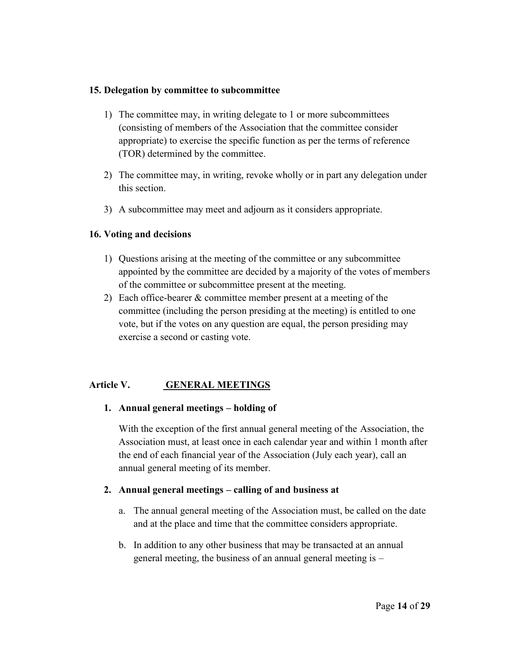#### **15. Delegation by committee to subcommittee**

- 1) The committee may, in writing delegate to 1 or more subcommittees (consisting of members of the Association that the committee consider appropriate) to exercise the specific function as per the terms of reference (TOR) determined by the committee.
- 2) The committee may, in writing, revoke wholly or in part any delegation under this section.
- 3) A subcommittee may meet and adjourn as it considers appropriate.

#### **16. Voting and decisions**

- 1) Questions arising at the meeting of the committee or any subcommittee appointed by the committee are decided by a majority of the votes of members of the committee or subcommittee present at the meeting.
- 2) Each office-bearer & committee member present at a meeting of the committee (including the person presiding at the meeting) is entitled to one vote, but if the votes on any question are equal, the person presiding may exercise a second or casting vote.

#### **Article V. GENERAL MEETINGS**

#### **1. Annual general meetings – holding of**

With the exception of the first annual general meeting of the Association, the Association must, at least once in each calendar year and within 1 month after the end of each financial year of the Association (July each year), call an annual general meeting of its member.

#### **2. Annual general meetings – calling of and business at**

- a. The annual general meeting of the Association must, be called on the date and at the place and time that the committee considers appropriate.
- b. In addition to any other business that may be transacted at an annual general meeting, the business of an annual general meeting is –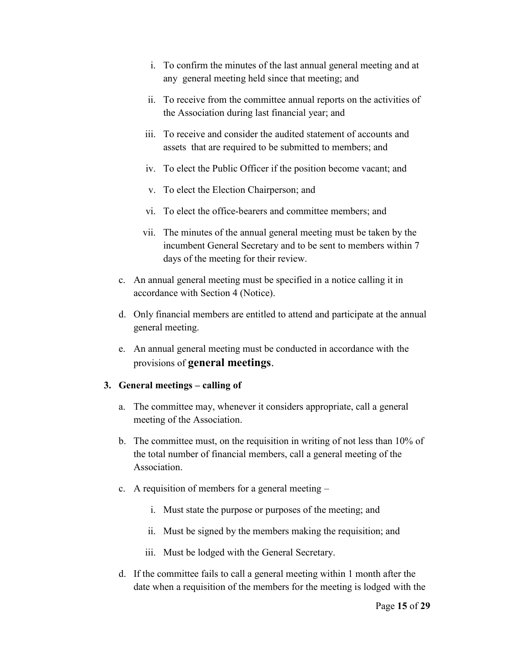- i. To confirm the minutes of the last annual general meeting and at any general meeting held since that meeting; and
- ii. To receive from the committee annual reports on the activities of the Association during last financial year; and
- iii. To receive and consider the audited statement of accounts and assets that are required to be submitted to members; and
- iv. To elect the Public Officer if the position become vacant; and
- v. To elect the Election Chairperson; and
- vi. To elect the office-bearers and committee members; and
- vii. The minutes of the annual general meeting must be taken by the incumbent General Secretary and to be sent to members within 7 days of the meeting for their review.
- c. An annual general meeting must be specified in a notice calling it in accordance with Section 4 (Notice).
- d. Only financial members are entitled to attend and participate at the annual general meeting.
- e. An annual general meeting must be conducted in accordance with the provisions of **general meetings**.

#### **3. General meetings – calling of**

- a. The committee may, whenever it considers appropriate, call a general meeting of the Association.
- b. The committee must, on the requisition in writing of not less than 10% of the total number of financial members, call a general meeting of the Association.
- c. A requisition of members for a general meeting
	- i. Must state the purpose or purposes of the meeting; and
	- ii. Must be signed by the members making the requisition; and
	- iii. Must be lodged with the General Secretary.
- d. If the committee fails to call a general meeting within 1 month after the date when a requisition of the members for the meeting is lodged with the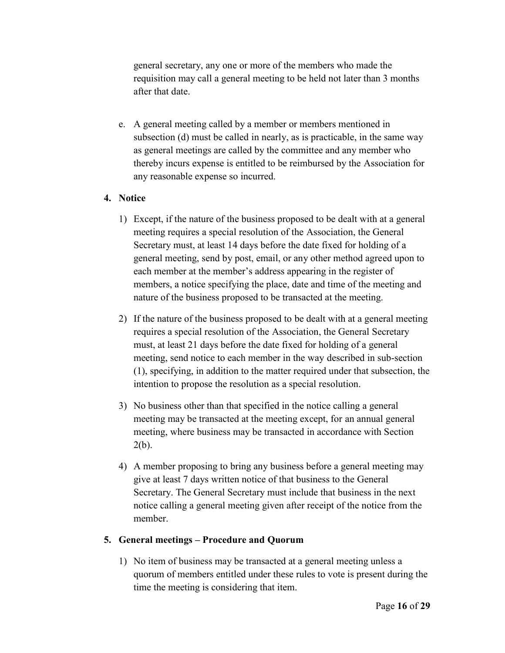general secretary, any one or more of the members who made the requisition may call a general meeting to be held not later than 3 months after that date.

e. A general meeting called by a member or members mentioned in subsection (d) must be called in nearly, as is practicable, in the same way as general meetings are called by the committee and any member who thereby incurs expense is entitled to be reimbursed by the Association for any reasonable expense so incurred.

#### **4. Notice**

- 1) Except, if the nature of the business proposed to be dealt with at a general meeting requires a special resolution of the Association, the General Secretary must, at least 14 days before the date fixed for holding of a general meeting, send by post, email, or any other method agreed upon to each member at the member's address appearing in the register of members, a notice specifying the place, date and time of the meeting and nature of the business proposed to be transacted at the meeting.
- 2) If the nature of the business proposed to be dealt with at a general meeting requires a special resolution of the Association, the General Secretary must, at least 21 days before the date fixed for holding of a general meeting, send notice to each member in the way described in sub-section (1), specifying, in addition to the matter required under that subsection, the intention to propose the resolution as a special resolution.
- 3) No business other than that specified in the notice calling a general meeting may be transacted at the meeting except, for an annual general meeting, where business may be transacted in accordance with Section  $2(b)$ .
- 4) A member proposing to bring any business before a general meeting may give at least 7 days written notice of that business to the General Secretary. The General Secretary must include that business in the next notice calling a general meeting given after receipt of the notice from the member.

#### **5. General meetings – Procedure and Quorum**

1) No item of business may be transacted at a general meeting unless a quorum of members entitled under these rules to vote is present during the time the meeting is considering that item.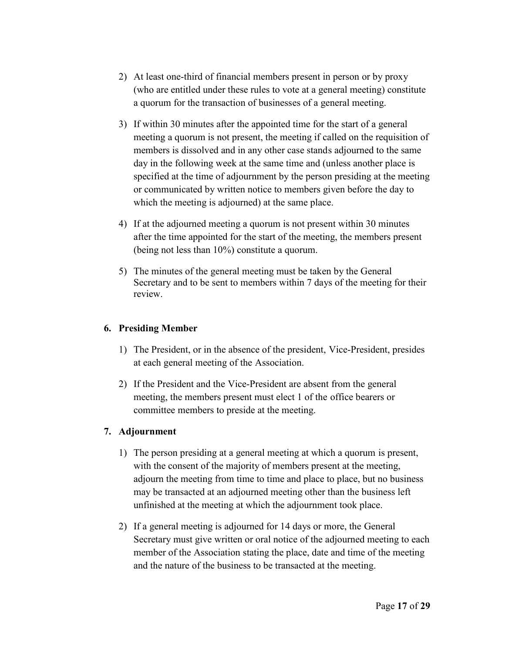- 2) At least one-third of financial members present in person or by proxy (who are entitled under these rules to vote at a general meeting) constitute a quorum for the transaction of businesses of a general meeting.
- 3) If within 30 minutes after the appointed time for the start of a general meeting a quorum is not present, the meeting if called on the requisition of members is dissolved and in any other case stands adjourned to the same day in the following week at the same time and (unless another place is specified at the time of adjournment by the person presiding at the meeting or communicated by written notice to members given before the day to which the meeting is adjourned) at the same place.
- 4) If at the adjourned meeting a quorum is not present within 30 minutes after the time appointed for the start of the meeting, the members present (being not less than 10%) constitute a quorum.
- 5) The minutes of the general meeting must be taken by the General Secretary and to be sent to members within 7 days of the meeting for their review.

#### **6. Presiding Member**

- 1) The President, or in the absence of the president, Vice-President, presides at each general meeting of the Association.
- 2) If the President and the Vice-President are absent from the general meeting, the members present must elect 1 of the office bearers or committee members to preside at the meeting.

#### **7. Adjournment**

- 1) The person presiding at a general meeting at which a quorum is present, with the consent of the majority of members present at the meeting, adjourn the meeting from time to time and place to place, but no business may be transacted at an adjourned meeting other than the business left unfinished at the meeting at which the adjournment took place.
- 2) If a general meeting is adjourned for 14 days or more, the General Secretary must give written or oral notice of the adjourned meeting to each member of the Association stating the place, date and time of the meeting and the nature of the business to be transacted at the meeting.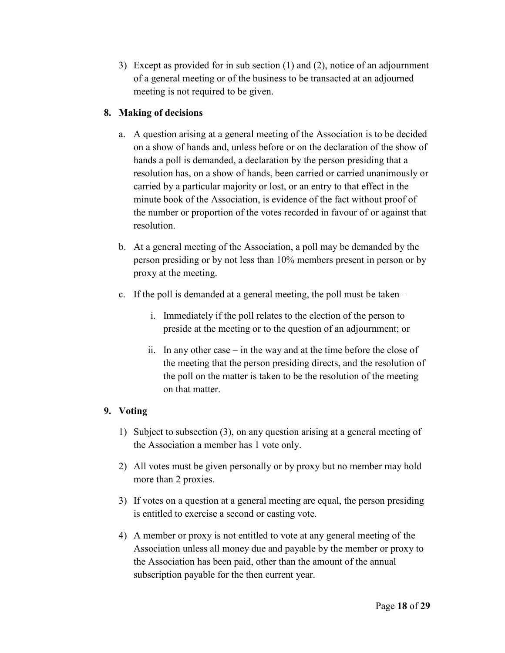3) Except as provided for in sub section (1) and (2), notice of an adjournment of a general meeting or of the business to be transacted at an adjourned meeting is not required to be given.

#### **8. Making of decisions**

- a. A question arising at a general meeting of the Association is to be decided on a show of hands and, unless before or on the declaration of the show of hands a poll is demanded, a declaration by the person presiding that a resolution has, on a show of hands, been carried or carried unanimously or carried by a particular majority or lost, or an entry to that effect in the minute book of the Association, is evidence of the fact without proof of the number or proportion of the votes recorded in favour of or against that resolution.
- b. At a general meeting of the Association, a poll may be demanded by the person presiding or by not less than 10% members present in person or by proxy at the meeting.
- c. If the poll is demanded at a general meeting, the poll must be taken
	- i. Immediately if the poll relates to the election of the person to preside at the meeting or to the question of an adjournment; or
	- ii. In any other case in the way and at the time before the close of the meeting that the person presiding directs, and the resolution of the poll on the matter is taken to be the resolution of the meeting on that matter.

#### **9. Voting**

- 1) Subject to subsection (3), on any question arising at a general meeting of the Association a member has 1 vote only.
- 2) All votes must be given personally or by proxy but no member may hold more than 2 proxies.
- 3) If votes on a question at a general meeting are equal, the person presiding is entitled to exercise a second or casting vote.
- 4) A member or proxy is not entitled to vote at any general meeting of the Association unless all money due and payable by the member or proxy to the Association has been paid, other than the amount of the annual subscription payable for the then current year.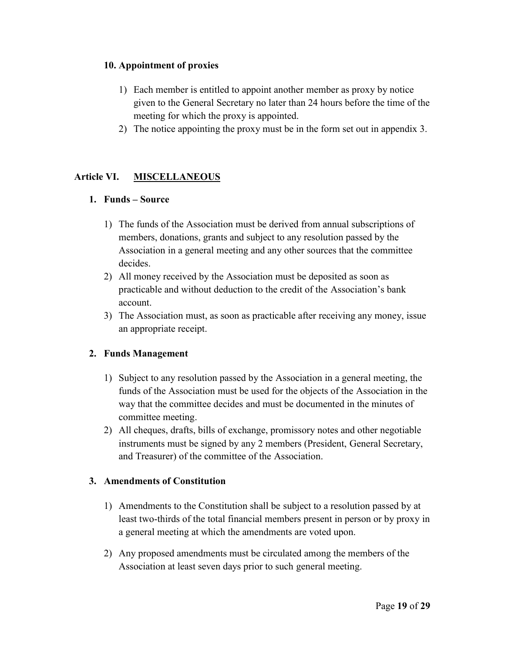#### **10. Appointment of proxies**

- 1) Each member is entitled to appoint another member as proxy by notice given to the General Secretary no later than 24 hours before the time of the meeting for which the proxy is appointed.
- 2) The notice appointing the proxy must be in the form set out in appendix 3.

#### **Article VI. MISCELLANEOUS**

#### **1. Funds – Source**

- 1) The funds of the Association must be derived from annual subscriptions of members, donations, grants and subject to any resolution passed by the Association in a general meeting and any other sources that the committee decides.
- 2) All money received by the Association must be deposited as soon as practicable and without deduction to the credit of the Association's bank account.
- 3) The Association must, as soon as practicable after receiving any money, issue an appropriate receipt.

#### **2. Funds Management**

- 1) Subject to any resolution passed by the Association in a general meeting, the funds of the Association must be used for the objects of the Association in the way that the committee decides and must be documented in the minutes of committee meeting.
- 2) All cheques, drafts, bills of exchange, promissory notes and other negotiable instruments must be signed by any 2 members (President, General Secretary, and Treasurer) of the committee of the Association.

#### **3. Amendments of Constitution**

- 1) Amendments to the Constitution shall be subject to a resolution passed by at least two-thirds of the total financial members present in person or by proxy in a general meeting at which the amendments are voted upon.
- 2) Any proposed amendments must be circulated among the members of the Association at least seven days prior to such general meeting.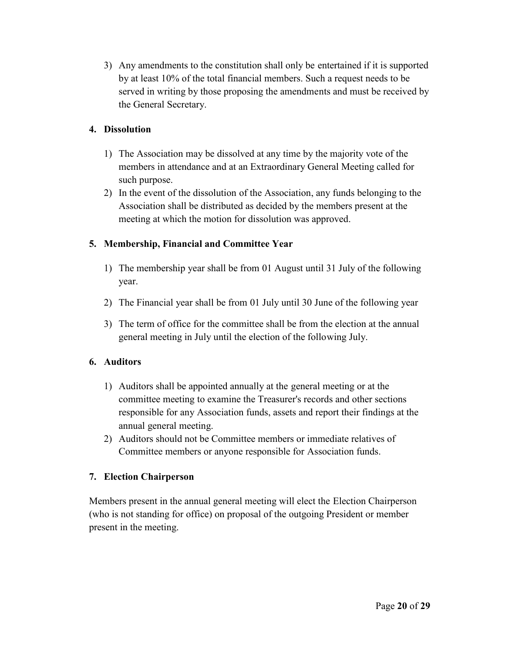3) Any amendments to the constitution shall only be entertained if it is supported by at least 10% of the total financial members. Such a request needs to be served in writing by those proposing the amendments and must be received by the General Secretary.

#### **4. Dissolution**

- 1) The Association may be dissolved at any time by the majority vote of the members in attendance and at an Extraordinary General Meeting called for such purpose.
- 2) In the event of the dissolution of the Association, any funds belonging to the Association shall be distributed as decided by the members present at the meeting at which the motion for dissolution was approved.

#### **5. Membership, Financial and Committee Year**

- 1) The membership year shall be from 01 August until 31 July of the following year.
- 2) The Financial year shall be from 01 July until 30 June of the following year
- 3) The term of office for the committee shall be from the election at the annual general meeting in July until the election of the following July.

#### **6. Auditors**

- 1) Auditors shall be appointed annually at the general meeting or at the committee meeting to examine the Treasurer's records and other sections responsible for any Association funds, assets and report their findings at the annual general meeting.
- 2) Auditors should not be Committee members or immediate relatives of Committee members or anyone responsible for Association funds.

#### **7. Election Chairperson**

Members present in the annual general meeting will elect the Election Chairperson (who is not standing for office) on proposal of the outgoing President or member present in the meeting.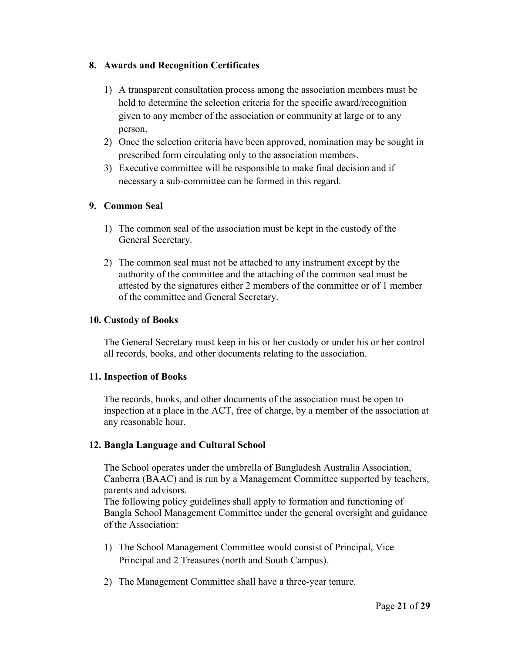#### **8. Awards and Recognition Certificates**

- 1) A transparent consultation process among the association members must be held to determine the selection criteria for the specific award/recognition given to any member of the association or community at large or to any person.
- 2) Once the selection criteria have been approved, nomination may be sought in prescribed form circulating only to the association members.
- 3) Executive committee will be responsible to make final decision and if necessary a sub-committee can be formed in this regard.

#### **9. Common Seal**

- 1) The common seal of the association must be kept in the custody of the General Secretary.
- 2) The common seal must not be attached to any instrument except by the authority of the committee and the attaching of the common seal must be attested by the signatures either 2 members of the committee or of 1 member of the committee and General Secretary.

#### **10. Custody of Books**

The General Secretary must keep in his or her custody or under his or her control all records, books, and other documents relating to the association.

#### **11. Inspection of Books**

The records, books, and other documents of the association must be open to inspection at a place in the ACT, free of charge, by a member of the association at any reasonable hour.

#### **12. Bangla Language and Cultural School**

The School operates under the umbrella of Bangladesh Australia Association, Canberra (BAAC) and is run by a Management Committee supported by teachers, parents and advisors.

The following policy guidelines shall apply to formation and functioning of Bangla School Management Committee under the general oversight and guidance of the Association:

- 1) The School Management Committee would consist of Principal, Vice Principal and 2 Treasures (north and South Campus).
- 2) The Management Committee shall have a three-year tenure.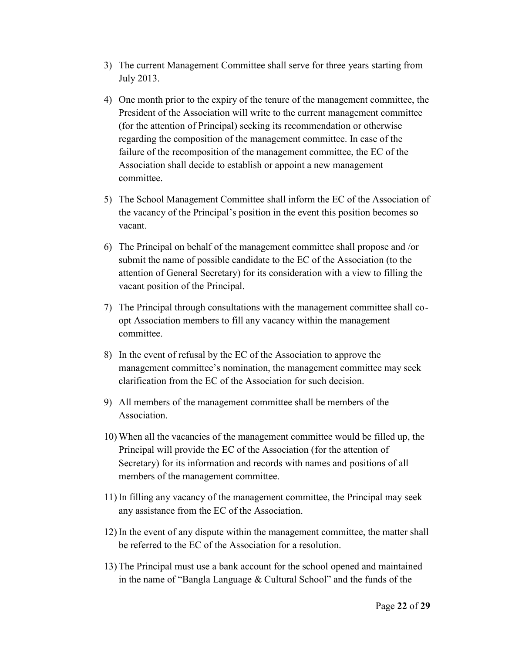- 3) The current Management Committee shall serve for three years starting from July 2013.
- 4) One month prior to the expiry of the tenure of the management committee, the President of the Association will write to the current management committee (for the attention of Principal) seeking its recommendation or otherwise regarding the composition of the management committee. In case of the failure of the recomposition of the management committee, the EC of the Association shall decide to establish or appoint a new management committee.
- 5) The School Management Committee shall inform the EC of the Association of the vacancy of the Principal's position in the event this position becomes so vacant.
- 6) The Principal on behalf of the management committee shall propose and /or submit the name of possible candidate to the EC of the Association (to the attention of General Secretary) for its consideration with a view to filling the vacant position of the Principal.
- 7) The Principal through consultations with the management committee shall co opt Association members to fill any vacancy within the management committee.
- 8) In the event of refusal by the EC of the Association to approve the management committee's nomination, the management committee may seek clarification from the EC of the Association for such decision.
- 9) All members of the management committee shall be members of the **Association**
- 10) When all the vacancies of the management committee would be filled up, the Principal will provide the EC of the Association (for the attention of Secretary) for its information and records with names and positions of all members of the management committee.
- 11) In filling any vacancy of the management committee, the Principal may seek any assistance from the EC of the Association.
- 12) In the event of any dispute within the management committee, the matter shall be referred to the EC of the Association for a resolution.
- 13) The Principal must use a bank account for the school opened and maintained in the name of "Bangla Language & Cultural School" and the funds of the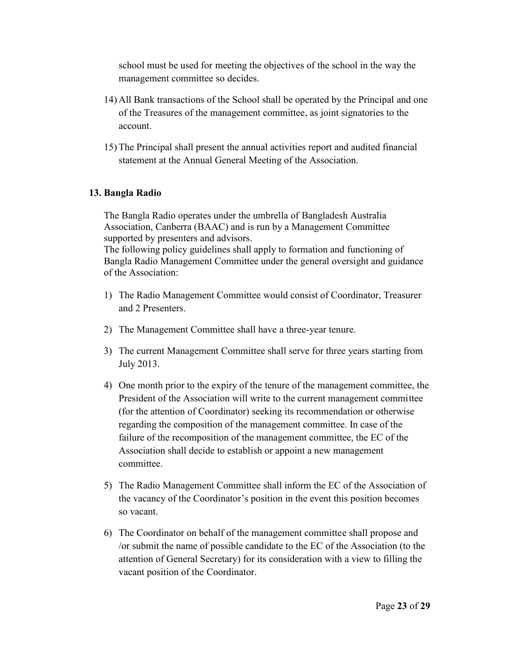school must be used for meeting the objectives of the school in the way the management committee so decides.

- 14) All Bank transactions of the School shall be operated by the Principal and one of the Treasures of the management committee, as joint signatories to the account.
- 15) The Principal shall present the annual activities report and audited financial statement at the Annual General Meeting of the Association.

#### **13. Bangla Radio**

The Bangla Radio operates under the umbrella of Bangladesh Australia Association, Canberra (BAAC) and is run by a Management Committee supported by presenters and advisors.

The following policy guidelines shall apply to formation and functioning of Bangla Radio Management Committee under the general oversight and guidance of the Association:

- 1) The Radio Management Committee would consist of Coordinator, Treasurer and 2 Presenters.
- 2) The Management Committee shall have a three-year tenure.
- 3) The current Management Committee shall serve for three years starting from July 2013.
- 4) One month prior to the expiry of the tenure of the management committee, the President of the Association will write to the current management committee (for the attention of Coordinator) seeking its recommendation or otherwise regarding the composition of the management committee. In case of the failure of the recomposition of the management committee, the EC of the Association shall decide to establish or appoint a new management committee.
- 5) The Radio Management Committee shall inform the EC of the Association of the vacancy of the Coordinator's position in the event this position becomes so vacant.
- 6) The Coordinator on behalf of the management committee shall propose and /or submit the name of possible candidate to the EC of the Association (to the attention of General Secretary) for its consideration with a view to filling the vacant position of the Coordinator.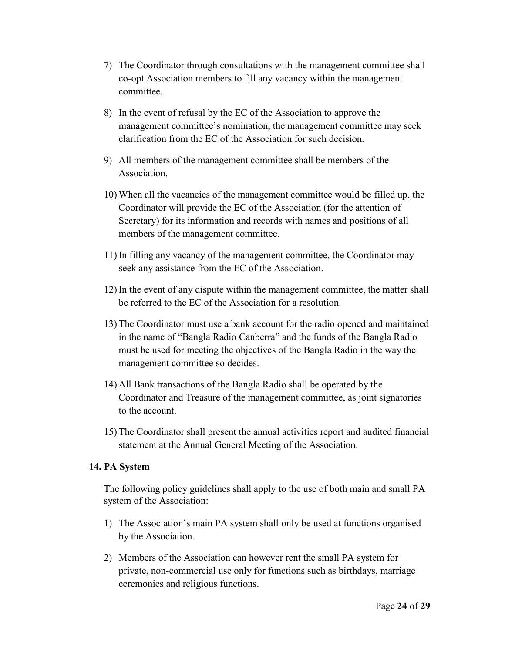- 7) The Coordinator through consultations with the management committee shall co-opt Association members to fill any vacancy within the management committee.
- 8) In the event of refusal by the EC of the Association to approve the management committee's nomination, the management committee may seek clarification from the EC of the Association for such decision.
- 9) All members of the management committee shall be members of the Association.
- 10) When all the vacancies of the management committee would be filled up, the Coordinator will provide the EC of the Association (for the attention of Secretary) for its information and records with names and positions of all members of the management committee.
- 11) In filling any vacancy of the management committee, the Coordinator may seek any assistance from the EC of the Association.
- 12) In the event of any dispute within the management committee, the matter shall be referred to the EC of the Association for a resolution.
- 13) The Coordinator must use a bank account for the radio opened and maintained in the name of "Bangla Radio Canberra" and the funds of the Bangla Radio must be used for meeting the objectives of the Bangla Radio in the way the management committee so decides.
- 14) All Bank transactions of the Bangla Radio shall be operated by the Coordinator and Treasure of the management committee, as joint signatories to the account.
- 15) The Coordinator shall present the annual activities report and audited financial statement at the Annual General Meeting of the Association.

#### **14. PA System**

The following policy guidelines shall apply to the use of both main and small PA system of the Association:

- 1) The Association's main PA system shall only be used at functions organised by the Association.
- 2) Members of the Association can however rent the small PA system for private, non-commercial use only for functions such as birthdays, marriage ceremonies and religious functions.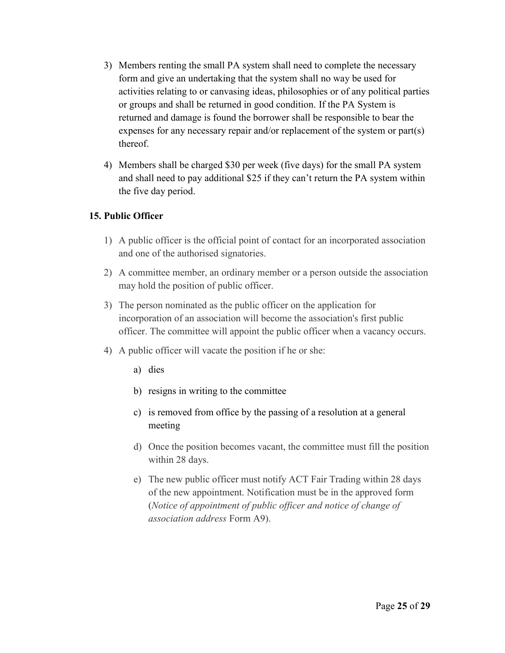- 3) Members renting the small PA system shall need to complete the necessary form and give an undertaking that the system shall no way be used for activities relating to or canvasing ideas, philosophies or of any political parties or groups and shall be returned in good condition. If the PA System is returned and damage is found the borrower shall be responsible to bear the expenses for any necessary repair and/or replacement of the system or part(s) thereof.
- 4) Members shall be charged \$30 per week (five days) for the small PA system and shall need to pay additional \$25 if they can't return the PA system within the five day period.

#### **15. Public Officer**

- 1) A public officer is the official point of contact for an incorporated association and one of the authorised signatories.
- 2) A committee member, an ordinary member or a person outside the association may hold the position of public officer.
- 3) The person nominated as the public officer on the application for incorporation of an association will become the association's first public officer. The committee will appoint the public officer when a vacancy occurs.
- 4) A public officer will vacate the position if he or she:
	- a) dies
	- b) resigns in writing to the committee
	- c) is removed from office by the passing of a resolution at a general meeting
	- d) Once the position becomes vacant, the committee must fill the position within 28 days.
	- e) The new public officer must notify ACT Fair Trading within 28 days of the new appointment. Notification must be in the approved form (*Notice of appointment of public officer and notice of change of association address* Form A9).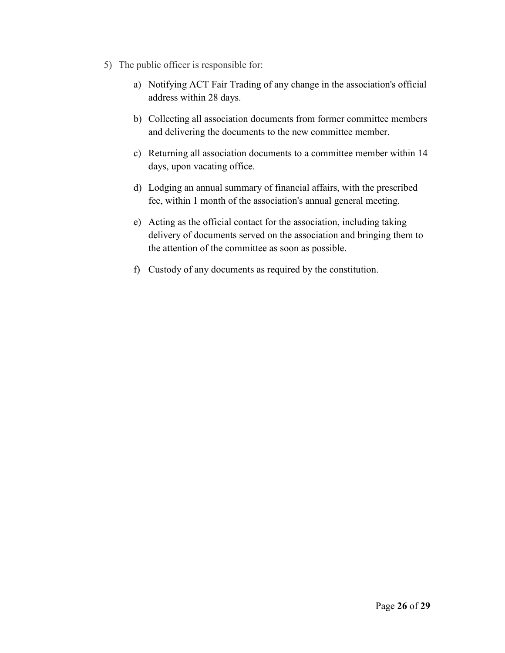- 5) The public officer is responsible for:
	- a) Notifying ACT Fair Trading of any change in the association's official address within 28 days.
	- b) Collecting all association documents from former committee members and delivering the documents to the new committee member.
	- c) Returning all association documents to a committee member within 14 days, upon vacating office.
	- d) Lodging an annual summary of financial affairs, with the prescribed fee, within 1 month of the association's annual general meeting.
	- e) Acting as the official contact for the association, including taking delivery of documents served on the association and bringing them to the attention of the committee as soon as possible.
	- f) Custody of any documents as required by the constitution.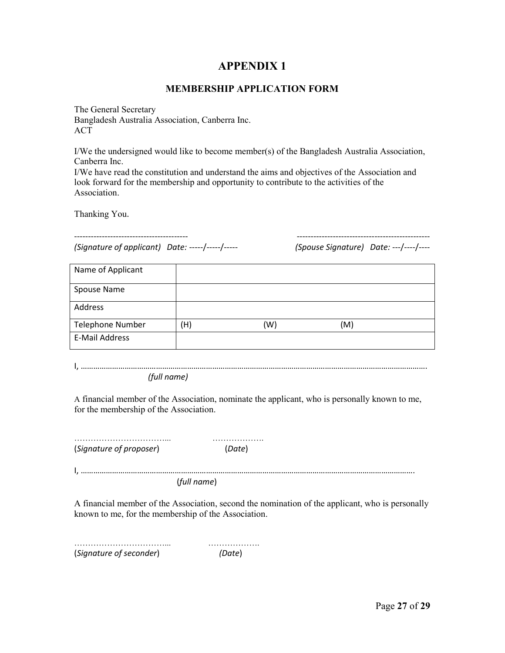#### **APPENDIX 1**

#### **MEMBERSHIP APPLICATION FORM**

The General Secretary Bangladesh Australia Association, Canberra Inc. ACT

I/We the undersigned would like to become member(s) of the Bangladesh Australia Association, Canberra Inc.

I/We have read the constitution and understand the aims and objectives of the Association and look forward for the membership and opportunity to contribute to the activities of the Association.

Thanking You.

*(Signature of applicant) Date:* -----/-----/----- *(Spouse Signature) Date:* ---/----/----

----------------------------------------- ------------------------------------------------

| Name of Applicant       |     |     |     |
|-------------------------|-----|-----|-----|
| Spouse Name             |     |     |     |
| Address                 |     |     |     |
| <b>Telephone Number</b> | (H) | (W) | (M) |
| E-Mail Address          |     |     |     |

I, …………………………………………………………………………………………………………………………………………………. *(full name)*

A financial member of the Association, nominate the applicant, who is personally known to me, for the membership of the Association.

……………………………... ………………. (*Signature of proposer*) (*Date*)

I, …………………………………………………………………………………………………………………………………………….

(*full name*)

A financial member of the Association, second the nomination of the applicant, who is personally known to me, for the membership of the Association.

……………………………... ………………. (*Signature of seconder*) *(Date*)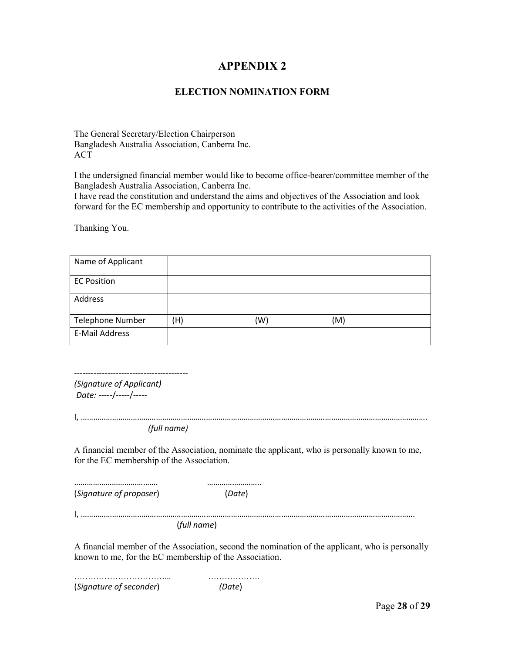#### **APPENDIX 2**

#### **ELECTION NOMINATION FORM**

The General Secretary/Election Chairperson Bangladesh Australia Association, Canberra Inc. ACT

I the undersigned financial member would like to become office-bearer/committee member of the Bangladesh Australia Association, Canberra Inc.

I have read the constitution and understand the aims and objectives of the Association and look forward for the EC membership and opportunity to contribute to the activities of the Association.

Thanking You.

| Name of Applicant       |     |     |     |  |
|-------------------------|-----|-----|-----|--|
| <b>EC Position</b>      |     |     |     |  |
| Address                 |     |     |     |  |
| <b>Telephone Number</b> | (H) | (W) | (M) |  |
| <b>E-Mail Address</b>   |     |     |     |  |

*(Signature of Applicant) Date:* -----/-----/-----

-----------------------------------------

*(full name)*

A financial member of the Association, nominate the applicant, who is personally known to me, for the EC membership of the Association.

…………………………………. …………………….. (*Signature of proposer*) (*Date*)

I, …………………………………………………………………………………………………………………………………………….

(*full name*)

A financial member of the Association, second the nomination of the applicant, who is personally known to me, for the EC membership of the Association.

……………………………... ………………. (*Signature of seconder*) *(Date*)